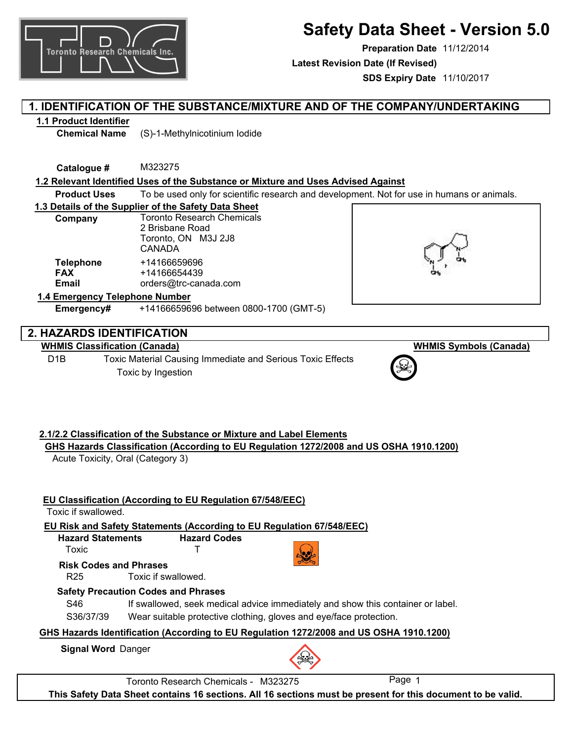

# **Safety Data Sheet - Version 5.0**

**Preparation Date** 11/12/2014 **SDS Expiry Date** 11/10/2017 **Latest Revision Date (If Revised)**

## **1. IDENTIFICATION OF THE SUBSTANCE/MIXTURE AND OF THE COMPANY/UNDERTAKING**

## **1.1 Product Identifier**

**Chemical Name** (S)-1-Methylnicotinium Iodide

**Catalogue #** M323275

## **1.2 Relevant Identified Uses of the Substance or Mixture and Uses Advised Against**

**Product Uses** To be used only for scientific research and development. Not for use in humans or animals.

## **1.3 Details of the Supplier of the Safety Data Sheet**

| Company                                        | <b>Toronto Research Chemicals</b><br>2 Brisbane Road<br>Toronto, ON M3J 2J8<br><b>CANADA</b> |
|------------------------------------------------|----------------------------------------------------------------------------------------------|
| <b>Telephone</b><br><b>FAX</b><br><b>Email</b> | +14166659696<br>+14166654439<br>orders@trc-canada.com                                        |
|                                                |                                                                                              |

## **1.4 Emergency Telephone Number**

**Emergency#** +14166659696 between 0800-1700 (GMT-5)

## **2. HAZARDS IDENTIFICATION**

## **WHMIS Classification (Canada)**

D1B Toxic Material Causing Immediate and Serious Toxic Effects Toxic by Ingestion



## **WHMIS Symbols (Canada)**



#### **2.1/2.2 Classification of the Substance or Mixture and Label Elements GHS Hazards Classification (According to EU Regulation 1272/2008 and US OSHA 1910.1200)**

Acute Toxicity, Oral (Category 3)

| Toxic if swallowed.                              | EU Classification (According to EU Regulation 67/548/EEC)                                                                                                                                           |        |  |
|--------------------------------------------------|-----------------------------------------------------------------------------------------------------------------------------------------------------------------------------------------------------|--------|--|
|                                                  | EU Risk and Safety Statements (According to EU Regulation 67/548/EEC)                                                                                                                               |        |  |
| <b>Hazard Statements</b>                         | <b>Hazard Codes</b>                                                                                                                                                                                 |        |  |
| Toxic                                            |                                                                                                                                                                                                     |        |  |
| <b>Risk Codes and Phrases</b><br>R <sub>25</sub> | Toxic if swallowed.                                                                                                                                                                                 |        |  |
| S46<br>S36/37/39                                 | <b>Safety Precaution Codes and Phrases</b><br>If swallowed, seek medical advice immediately and show this container or label.<br>Wear suitable protective clothing, gloves and eye/face protection. |        |  |
|                                                  | GHS Hazards Identification (According to EU Regulation 1272/2008 and US OSHA 1910.1200)                                                                                                             |        |  |
| <b>Signal Word Danger</b>                        |                                                                                                                                                                                                     |        |  |
|                                                  | Toronto Research Chemicals - M323275                                                                                                                                                                | Page 1 |  |
|                                                  | This Safety Data Sheet contains 16 sections. All 16 sections must be present for this document to be valid.                                                                                         |        |  |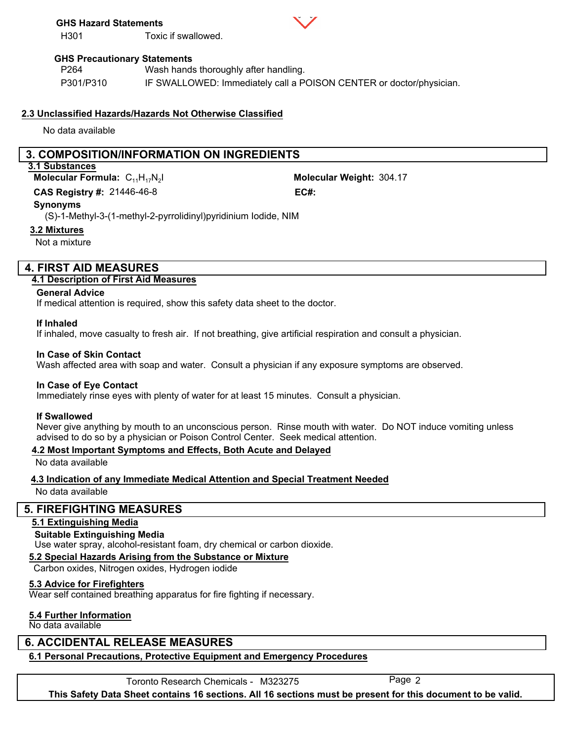#### **GHS Hazard Statements**

H301 Toxic if swallowed.



#### **GHS Precautionary Statements**

P264 P301/P310 Wash hands thoroughly after handling. IF SWALLOWED: Immediately call a POISON CENTER or doctor/physician.

#### **2.3 Unclassified Hazards/Hazards Not Otherwise Classified**

No data available

## **3. COMPOSITION/INFORMATION ON INGREDIENTS**

#### **3.1 Substances**

**Molecular Formula:** C<sub>11</sub>H<sub>17</sub>N<sub>2</sub>I

21446-46-8 **CAS Registry #: EC#:**

Molecular Weight: 304.17

#### **Synonyms**

(S)-1-Methyl-3-(1-methyl-2-pyrrolidinyl)pyridinium Iodide, NIM

#### **3.2 Mixtures**

Not a mixture

## **4. FIRST AID MEASURES**

#### **4.1 Description of First Aid Measures**

#### **General Advice**

If medical attention is required, show this safety data sheet to the doctor.

#### **If Inhaled**

If inhaled, move casualty to fresh air. If not breathing, give artificial respiration and consult a physician.

#### **In Case of Skin Contact**

Wash affected area with soap and water. Consult a physician if any exposure symptoms are observed.

#### **In Case of Eye Contact**

Immediately rinse eyes with plenty of water for at least 15 minutes. Consult a physician.

#### **If Swallowed**

Never give anything by mouth to an unconscious person. Rinse mouth with water. Do NOT induce vomiting unless advised to do so by a physician or Poison Control Center. Seek medical attention.

#### **4.2 Most Important Symptoms and Effects, Both Acute and Delayed**

No data available

#### **4.3 Indication of any Immediate Medical Attention and Special Treatment Needed**

No data available

#### **5. FIREFIGHTING MEASURES**

## **5.1 Extinguishing Media**

#### **Suitable Extinguishing Media**

Use water spray, alcohol-resistant foam, dry chemical or carbon dioxide.

#### **5.2 Special Hazards Arising from the Substance or Mixture**

Carbon oxides, Nitrogen oxides, Hydrogen iodide

#### **5.3 Advice for Firefighters**

Wear self contained breathing apparatus for fire fighting if necessary.

#### **5.4 Further Information**

No data available

## **6. ACCIDENTAL RELEASE MEASURES**

## **6.1 Personal Precautions, Protective Equipment and Emergency Procedures**

Toronto Research Chemicals - M323275 Page 2

**This Safety Data Sheet contains 16 sections. All 16 sections must be present for this document to be valid.**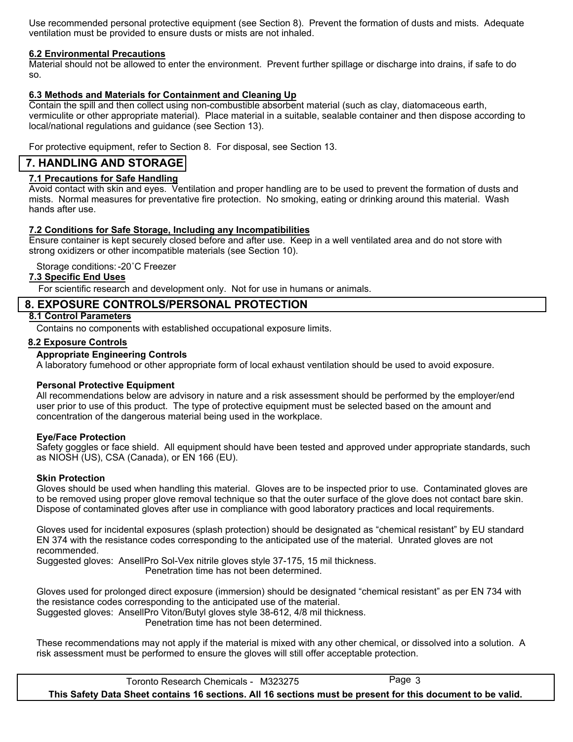Use recommended personal protective equipment (see Section 8). Prevent the formation of dusts and mists. Adequate ventilation must be provided to ensure dusts or mists are not inhaled.

#### **6.2 Environmental Precautions**

Material should not be allowed to enter the environment. Prevent further spillage or discharge into drains, if safe to do so.

#### **6.3 Methods and Materials for Containment and Cleaning Up**

Contain the spill and then collect using non-combustible absorbent material (such as clay, diatomaceous earth, vermiculite or other appropriate material). Place material in a suitable, sealable container and then dispose according to local/national regulations and guidance (see Section 13).

For protective equipment, refer to Section 8. For disposal, see Section 13.

## **7. HANDLING AND STORAGE**

## **7.1 Precautions for Safe Handling**

Avoid contact with skin and eyes. Ventilation and proper handling are to be used to prevent the formation of dusts and mists. Normal measures for preventative fire protection. No smoking, eating or drinking around this material. Wash hands after use.

#### **7.2 Conditions for Safe Storage, Including any Incompatibilities**

Ensure container is kept securely closed before and after use. Keep in a well ventilated area and do not store with strong oxidizers or other incompatible materials (see Section 10).

Storage conditions:-20˚C Freezer

#### **7.3 Specific End Uses**

For scientific research and development only. Not for use in humans or animals.

## **8. EXPOSURE CONTROLS/PERSONAL PROTECTION**

#### **8.1 Control Parameters**

Contains no components with established occupational exposure limits.

#### **8.2 Exposure Controls**

#### **Appropriate Engineering Controls**

A laboratory fumehood or other appropriate form of local exhaust ventilation should be used to avoid exposure.

#### **Personal Protective Equipment**

All recommendations below are advisory in nature and a risk assessment should be performed by the employer/end user prior to use of this product. The type of protective equipment must be selected based on the amount and concentration of the dangerous material being used in the workplace.

#### **Eye/Face Protection**

Safety goggles or face shield. All equipment should have been tested and approved under appropriate standards, such as NIOSH (US), CSA (Canada), or EN 166 (EU).

#### **Skin Protection**

Gloves should be used when handling this material. Gloves are to be inspected prior to use. Contaminated gloves are to be removed using proper glove removal technique so that the outer surface of the glove does not contact bare skin. Dispose of contaminated gloves after use in compliance with good laboratory practices and local requirements.

Gloves used for incidental exposures (splash protection) should be designated as "chemical resistant" by EU standard EN 374 with the resistance codes corresponding to the anticipated use of the material. Unrated gloves are not recommended.

Suggested gloves: AnsellPro Sol-Vex nitrile gloves style 37-175, 15 mil thickness. Penetration time has not been determined.

Gloves used for prolonged direct exposure (immersion) should be designated "chemical resistant" as per EN 734 with the resistance codes corresponding to the anticipated use of the material. Suggested gloves: AnsellPro Viton/Butyl gloves style 38-612, 4/8 mil thickness.

Penetration time has not been determined.

These recommendations may not apply if the material is mixed with any other chemical, or dissolved into a solution. A risk assessment must be performed to ensure the gloves will still offer acceptable protection.

Toronto Research Chemicals - M323275 Page 3 **This Safety Data Sheet contains 16 sections. All 16 sections must be present for this document to be valid.**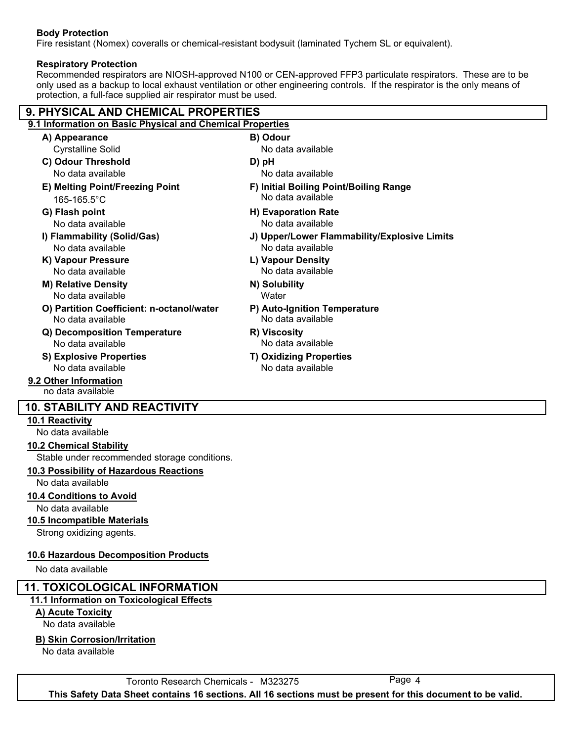## **Body Protection**

Fire resistant (Nomex) coveralls or chemical-resistant bodysuit (laminated Tychem SL or equivalent).

#### **Respiratory Protection**

Recommended respirators are NIOSH-approved N100 or CEN-approved FFP3 particulate respirators. These are to be only used as a backup to local exhaust ventilation or other engineering controls. If the respirator is the only means of protection, a full-face supplied air respirator must be used.

| <b>9. PHYSICAL AND CHEMICAL PROPERTIES</b>                |                                              |  |  |  |  |
|-----------------------------------------------------------|----------------------------------------------|--|--|--|--|
| 9.1 Information on Basic Physical and Chemical Properties |                                              |  |  |  |  |
| A) Appearance                                             | B) Odour                                     |  |  |  |  |
| <b>Cyrstalline Solid</b>                                  | No data available                            |  |  |  |  |
| C) Odour Threshold                                        | D) pH                                        |  |  |  |  |
| No data available                                         | No data available                            |  |  |  |  |
| E) Melting Point/Freezing Point                           | F) Initial Boiling Point/Boiling Range       |  |  |  |  |
| 165-165.5°C                                               | No data available                            |  |  |  |  |
| G) Flash point                                            | <b>H) Evaporation Rate</b>                   |  |  |  |  |
| No data available                                         | No data available                            |  |  |  |  |
| I) Flammability (Solid/Gas)                               | J) Upper/Lower Flammability/Explosive Limits |  |  |  |  |
| No data available                                         | No data available                            |  |  |  |  |
| K) Vapour Pressure                                        | L) Vapour Density                            |  |  |  |  |
| No data available                                         | No data available                            |  |  |  |  |
| <b>M) Relative Density</b>                                | N) Solubility                                |  |  |  |  |
| No data available                                         | Water                                        |  |  |  |  |
| O) Partition Coefficient: n-octanol/water                 | P) Auto-Ignition Temperature                 |  |  |  |  |
| No data available                                         | No data available                            |  |  |  |  |
| Q) Decomposition Temperature                              | R) Viscosity                                 |  |  |  |  |
| No data available                                         | No data available                            |  |  |  |  |
| <b>S) Explosive Properties</b>                            | <b>T) Oxidizing Properties</b>               |  |  |  |  |
| No data available                                         | No data available                            |  |  |  |  |
| 9.2 Other Information                                     |                                              |  |  |  |  |
| no data available                                         |                                              |  |  |  |  |
| <b>10. STABILITY AND REACTIVITY</b>                       |                                              |  |  |  |  |
| 10.1 Reactivity                                           |                                              |  |  |  |  |
| No data available                                         |                                              |  |  |  |  |

**10.2 Chemical Stability**

Stable under recommended storage conditions.

#### **10.3 Possibility of Hazardous Reactions**

No data available

- **10.4 Conditions to Avoid**
- No data available
- **10.5 Incompatible Materials**

Strong oxidizing agents.

#### **10.6 Hazardous Decomposition Products**

No data available

## **11. TOXICOLOGICAL INFORMATION**

## **11.1 Information on Toxicological Effects**

## **A) Acute Toxicity**

No data available

**B) Skin Corrosion/Irritation**

No data available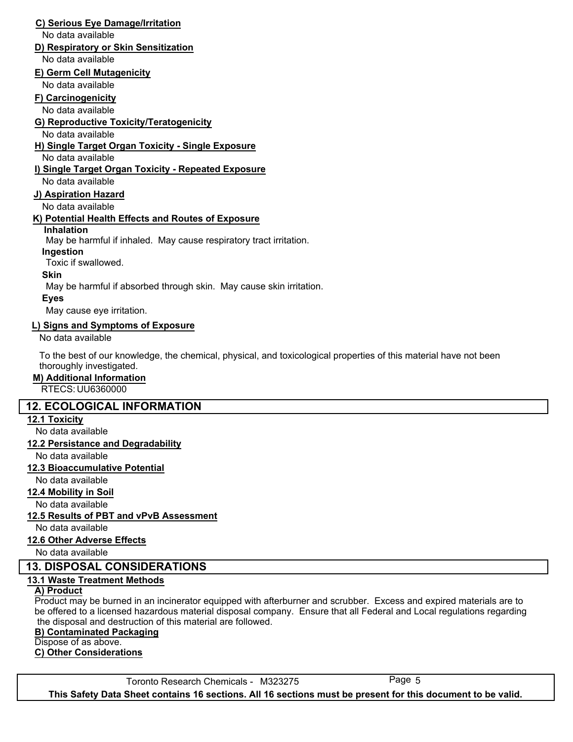#### **C) Serious Eye Damage/Irritation**

No data available

## **D) Respiratory or Skin Sensitization**

No data available

## **E) Germ Cell Mutagenicity**

No data available

#### **F) Carcinogenicity**

No data available

## **G) Reproductive Toxicity/Teratogenicity**

## No data available

**H) Single Target Organ Toxicity - Single Exposure**

No data available

## **I) Single Target Organ Toxicity - Repeated Exposure**

No data available

#### **J) Aspiration Hazard**

No data available

## **K) Potential Health Effects and Routes of Exposure**

#### **Inhalation**

May be harmful if inhaled. May cause respiratory tract irritation.

#### **Ingestion**

Toxic if swallowed.

#### **Skin**

May be harmful if absorbed through skin. May cause skin irritation.

## **Eyes**

May cause eye irritation.

#### **L) Signs and Symptoms of Exposure**

No data available

To the best of our knowledge, the chemical, physical, and toxicological properties of this material have not been thoroughly investigated.

#### **M) Additional Information**

RTECS: UU6360000

## **12. ECOLOGICAL INFORMATION**

#### **12.1 Toxicity**

No data available

#### **12.2 Persistance and Degradability**

No data available

#### **12.3 Bioaccumulative Potential**

No data available

**12.4 Mobility in Soil**

No data available

#### **12.5 Results of PBT and vPvB Assessment**

No data available

#### **12.6 Other Adverse Effects**

No data available

## **13. DISPOSAL CONSIDERATIONS**

## **13.1 Waste Treatment Methods**

#### **A) Product**

Product may be burned in an incinerator equipped with afterburner and scrubber. Excess and expired materials are to be offered to a licensed hazardous material disposal company. Ensure that all Federal and Local regulations regarding the disposal and destruction of this material are followed.

#### **B) Contaminated Packaging**

Dispose of as above.

#### **C) Other Considerations**

Toronto Research Chemicals - M323275 Page 5 **This Safety Data Sheet contains 16 sections. All 16 sections must be present for this document to be valid.**